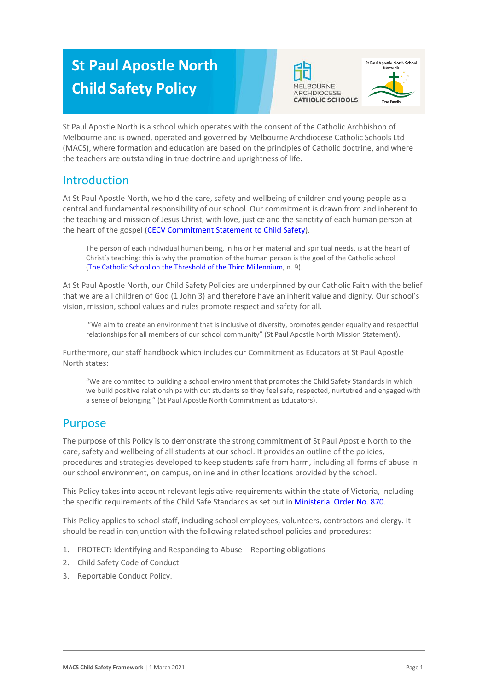# **St Paul Apostle North Child Safety Policy**





St Paul Apostle North is a school which operates with the consent of the Catholic Archbishop of Melbourne and is owned, operated and governed by Melbourne Archdiocese Catholic Schools Ltd (MACS), where formation and education are based on the principles of Catholic doctrine, and where the teachers are outstanding in true doctrine and uprightness of life.

## Introduction

At St Paul Apostle North, we hold the care, safety and wellbeing of children and young people as a central and fundamental responsibility of our school. Our commitment is drawn from and inherent to the teaching and mission of Jesus Christ, with love, justice and the sanctity of each human person at the heart of the gospel [\(CECV Commitment Statement to Child Safety\)](https://www.cecv.catholic.edu.au/getmedia/b5d43278-51b9-4704-b45a-f14e50546a70/Commitment-Statement-A4.aspx).

The person of each individual human being, in his or her material and spiritual needs, is at the heart of Christ's teaching: this is why the promotion of the human person is the goal of the Catholic school [\(The Catholic School on the Threshold of the Third Millennium,](http://www.vatican.va/roman_curia/congregations/ccatheduc/documents/rc_con_ccatheduc_doc_27041998_school2000_en.html) n. 9).

At St Paul Apostle North, our Child Safety Policies are underpinned by our Catholic Faith with the belief that we are all children of God (1 John 3) and therefore have an inherit value and dignity. Our school's vision, mission, school values and rules promote respect and safety for all.

"We aim to create an environment that is inclusive of diversity, promotes gender equality and respectful relationships for all members of our school community" (St Paul Apostle North Mission Statement).

Furthermore, our staff handbook which includes our Commitment as Educators at St Paul Apostle North states:

"We are commited to building a school environment that promotes the Child Safety Standards in which we build positive relationships with out students so they feel safe, respected, nurtutred and engaged with a sense of belonging " (St Paul Apostle North Commitment as Educators).

#### Purpose

The purpose of this Policy is to demonstrate the strong commitment of St Paul Apostle North to the care, safety and wellbeing of all students at our school. It provides an outline of the policies, procedures and strategies developed to keep students safe from harm, including all forms of abuse in our school environment, on campus, online and in other locations provided by the school.

This Policy takes into account relevant legislative requirements within the state of Victoria, including the specific requirements of the Child Safe Standards as set out in [Ministerial Order No. 870.](http://www.gazette.vic.gov.au/gazette/Gazettes2016/GG2016S002.pdf)

This Policy applies to school staff, including school employees, volunteers, contractors and clergy. It should be read in conjunction with the following related school policies and procedures:

- 1. PROTECT: Identifying and Responding to Abuse Reporting obligations
- 2. Child Safety Code of Conduct
- 3. Reportable Conduct Policy.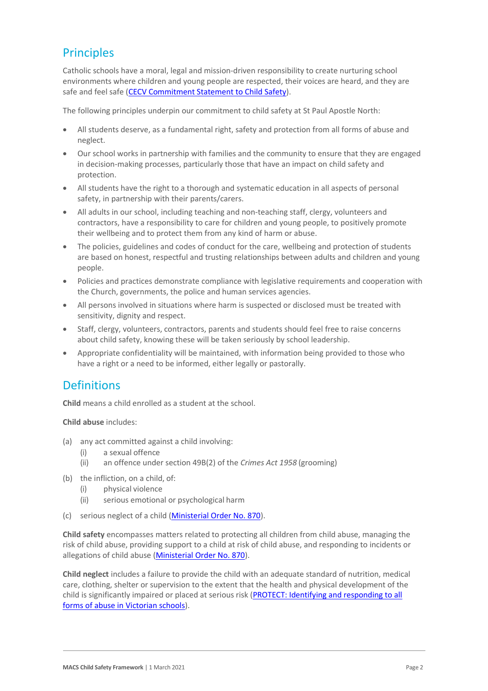# Principles

Catholic schools have a moral, legal and mission-driven responsibility to create nurturing school environments where children and young people are respected, their voices are heard, and they are safe and feel safe [\(CECV Commitment Statement to Child Safety\)](https://www.cecv.catholic.edu.au/getmedia/b5d43278-51b9-4704-b45a-f14e50546a70/Commitment-Statement-A4.aspx).

The following principles underpin our commitment to child safety at St Paul Apostle North:

- All students deserve, as a fundamental right, safety and protection from all forms of abuse and neglect.
- Our school works in partnership with families and the community to ensure that they are engaged in decision-making processes, particularly those that have an impact on child safety and protection.
- All students have the right to a thorough and systematic education in all aspects of personal safety, in partnership with their parents/carers.
- All adults in our school, including teaching and non-teaching staff, clergy, volunteers and contractors, have a responsibility to care for children and young people, to positively promote their wellbeing and to protect them from any kind of harm or abuse.
- The policies, guidelines and codes of conduct for the care, wellbeing and protection of students are based on honest, respectful and trusting relationships between adults and children and young people.
- Policies and practices demonstrate compliance with legislative requirements and cooperation with the Church, governments, the police and human services agencies.
- All persons involved in situations where harm is suspected or disclosed must be treated with sensitivity, dignity and respect.
- Staff, clergy, volunteers, contractors, parents and students should feel free to raise concerns about child safety, knowing these will be taken seriously by school leadership.
- Appropriate confidentiality will be maintained, with information being provided to those who have a right or a need to be informed, either legally or pastorally.

## **Definitions**

**Child** means a child enrolled as a student at the school.

**Child abuse** includes:

- (a) any act committed against a child involving:
	- (i) a sexual offence
	- (ii) an offence under section 49B(2) of the *Crimes Act 1958* (grooming)
- (b) the infliction, on a child, of:
	- (i) physical violence
	- (ii) serious emotional or psychological harm
- (c) serious neglect of a child [\(Ministerial Order No. 870\)](http://www.gazette.vic.gov.au/gazette/Gazettes2016/GG2016S002.pdf).

**Child safety** encompasses matters related to protecting all children from child abuse, managing the risk of child abuse, providing support to a child at risk of child abuse, and responding to incidents or allegations of child abuse [\(Ministerial Order No. 870\)](http://www.gazette.vic.gov.au/gazette/Gazettes2016/GG2016S002.pdf).

**Child neglect** includes a failure to provide the child with an adequate standard of nutrition, medical care, clothing, shelter or supervision to the extent that the health and physical development of the child is significantly impaired or placed at serious risk (PROTECT: Identifying and responding to all [forms of abuse in Victorian schools\)](http://www.cecv.catholic.edu.au/getmedia/ebe135a4-d1b3-48a0-81fe-50d4fc451bcd/Identifying-and-Responding-to-All-Forms-of-Abuse.aspx#page%3D27).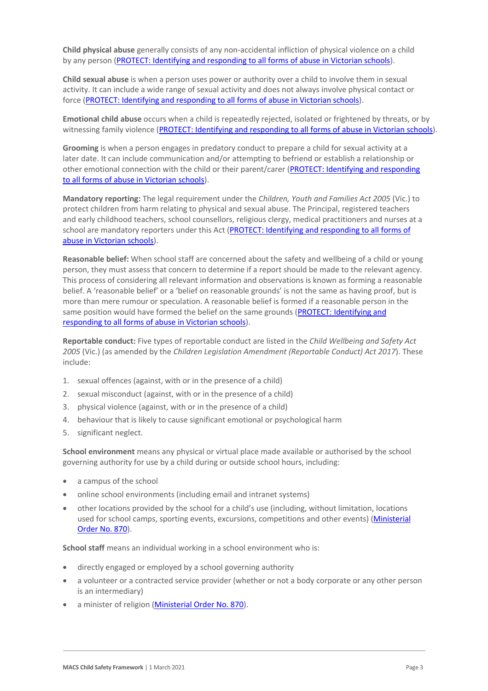**Child physical abuse** generally consists of any non-accidental infliction of physical violence on a child by any person [\(PROTECT: Identifying and responding to all forms of abuse in Victorian schools\)](https://www.cecv.catholic.edu.au/getmedia/ebe135a4-d1b3-48a0-81fe-50d4fc451bcd/Identifying-and-Responding-to-All-Forms-of-Abuse.aspx#page%3D15).

**Child sexual abuse** is when a person uses power or authority over a child to involve them in sexual activity. It can include a wide range of sexual activity and does not always involve physical contact or force [\(PROTECT: Identifying and responding to all forms of abuse in Victorian schools\)](https://www.cecv.catholic.edu.au/getmedia/ebe135a4-d1b3-48a0-81fe-50d4fc451bcd/Identifying-and-Responding-to-All-Forms-of-Abuse.aspx#page%3D17).

**Emotional child abuse** occurs when a child is repeatedly rejected, isolated or frightened by threats, or by witnessing family violence [\(PROTECT: Identifying and responding to all forms of abuse in Victorian schools\)](https://www.cecv.catholic.edu.au/getmedia/ebe135a4-d1b3-48a0-81fe-50d4fc451bcd/Identifying-and-Responding-to-All-Forms-of-Abuse.aspx#page%3D26).

**Grooming** is when a person engages in predatory conduct to prepare a child for sexual activity at a later date. It can include communication and/or attempting to befriend or establish a relationship or other emotional connection with the child or their parent/carer [\(PROTECT: Identifying and responding](https://www.cecv.catholic.edu.au/getmedia/ebe135a4-d1b3-48a0-81fe-50d4fc451bcd/Identifying-and-Responding-to-All-Forms-of-Abuse.aspx#page%3D20)  [to all forms of abuse in Victorian schools\)](https://www.cecv.catholic.edu.au/getmedia/ebe135a4-d1b3-48a0-81fe-50d4fc451bcd/Identifying-and-Responding-to-All-Forms-of-Abuse.aspx#page%3D20).

**Mandatory reporting:** The legal requirement under the *Children, Youth and Families Act 2005* (Vic.) to protect children from harm relating to physical and sexual abuse. The Principal, registered teachers and early childhood teachers, school counsellors, religious clergy, medical practitioners and nurses at a school are mandatory reporters under this Act [\(PROTECT: Identifying and responding to all forms of](http://www.cecv.catholic.edu.au/getmedia/ebe135a4-d1b3-48a0-81fe-50d4fc451bcd/Identifying-and-Responding-to-All-Forms-of-Abuse.aspx#page%3D8)  [abuse in Victorian schools\)](http://www.cecv.catholic.edu.au/getmedia/ebe135a4-d1b3-48a0-81fe-50d4fc451bcd/Identifying-and-Responding-to-All-Forms-of-Abuse.aspx#page%3D8).

**Reasonable belief:** When school staff are concerned about the safety and wellbeing of a child or young person, they must assess that concern to determine if a report should be made to the relevant agency. This process of considering all relevant information and observations is known as forming a reasonable belief. A 'reasonable belief' or a 'belief on reasonable grounds' is not the same as having proof, but is more than mere rumour or speculation. A reasonable belief is formed if a reasonable person in the same position would have formed the belief on the same grounds [\(PROTECT: Identifying and](http://www.cecv.catholic.edu.au/getmedia/ebe135a4-d1b3-48a0-81fe-50d4fc451bcd/Identifying-and-Responding-to-All-Forms-of-Abuse.aspx#page%3D35)  [responding to all forms of abuse in Victorian schools\)](http://www.cecv.catholic.edu.au/getmedia/ebe135a4-d1b3-48a0-81fe-50d4fc451bcd/Identifying-and-Responding-to-All-Forms-of-Abuse.aspx#page%3D35).

**Reportable conduct:** Five types of reportable conduct are listed in the *Child Wellbeing and Safety Act 2005* (Vic.) (as amended by the *Children Legislation Amendment (Reportable Conduct) Act 2017*). These include:

- 1. sexual offences (against, with or in the presence of a child)
- 2. sexual misconduct (against, with or in the presence of a child)
- 3. physical violence (against, with or in the presence of a child)
- 4. behaviour that is likely to cause significant emotional or psychological harm
- 5. significant neglect.

**School environment** means any physical or virtual place made available or authorised by the school governing authority for use by a child during or outside school hours, including:

- a campus of the school
- online school environments (including email and intranet systems)
- other locations provided by the school for a child's use (including, without limitation, locations used for school camps, sporting events, excursions, competitions and other events) (Ministerial [Order No. 870\)](http://www.gazette.vic.gov.au/gazette/Gazettes2016/GG2016S002.pdf).

**School staff** means an individual working in a school environment who is:

- directly engaged or employed by a school governing authority
- a volunteer or a contracted service provider (whether or not a body corporate or any other person is an intermediary)
- a minister of religion [\(Ministerial Order No. 870\)](http://www.gazette.vic.gov.au/gazette/Gazettes2016/GG2016S002.pdf).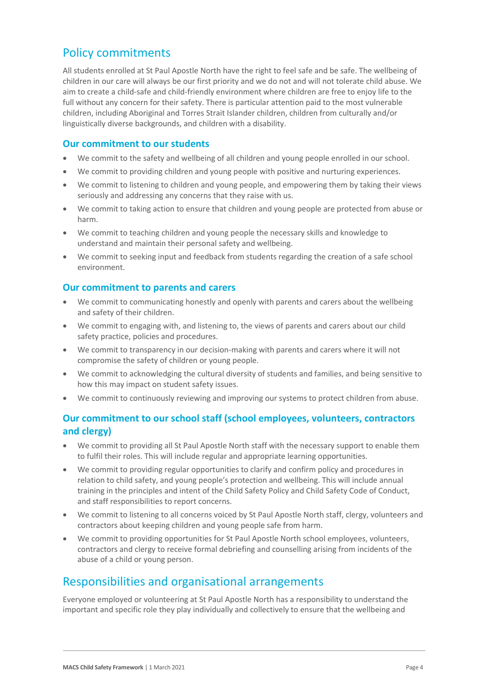### Policy commitments

All students enrolled at St Paul Apostle North have the right to feel safe and be safe. The wellbeing of children in our care will always be our first priority and we do not and will not tolerate child abuse. We aim to create a child-safe and child-friendly environment where children are free to enjoy life to the full without any concern for their safety. There is particular attention paid to the most vulnerable children, including Aboriginal and Torres Strait Islander children, children from culturally and/or linguistically diverse backgrounds, and children with a disability.

#### **Our commitment to our students**

- We commit to the safety and wellbeing of all children and young people enrolled in our school.
- We commit to providing children and young people with positive and nurturing experiences.
- We commit to listening to children and young people, and empowering them by taking their views seriously and addressing any concerns that they raise with us.
- We commit to taking action to ensure that children and young people are protected from abuse or harm.
- We commit to teaching children and young people the necessary skills and knowledge to understand and maintain their personal safety and wellbeing.
- We commit to seeking input and feedback from students regarding the creation of a safe school environment.

#### **Our commitment to parents and carers**

- We commit to communicating honestly and openly with parents and carers about the wellbeing and safety of their children.
- We commit to engaging with, and listening to, the views of parents and carers about our child safety practice, policies and procedures.
- We commit to transparency in our decision-making with parents and carers where it will not compromise the safety of children or young people.
- We commit to acknowledging the cultural diversity of students and families, and being sensitive to how this may impact on student safety issues.
- We commit to continuously reviewing and improving our systems to protect children from abuse.

#### **Our commitment to our school staff (school employees, volunteers, contractors and clergy)**

- We commit to providing all St Paul Apostle North staff with the necessary support to enable them to fulfil their roles. This will include regular and appropriate learning opportunities.
- We commit to providing regular opportunities to clarify and confirm policy and procedures in relation to child safety, and young people's protection and wellbeing. This will include annual training in the principles and intent of the Child Safety Policy and Child Safety Code of Conduct, and staff responsibilities to report concerns.
- We commit to listening to all concerns voiced by St Paul Apostle North staff, clergy, volunteers and contractors about keeping children and young people safe from harm.
- We commit to providing opportunities for St Paul Apostle North school employees, volunteers, contractors and clergy to receive formal debriefing and counselling arising from incidents of the abuse of a child or young person.

## Responsibilities and organisational arrangements

Everyone employed or volunteering at St Paul Apostle North has a responsibility to understand the important and specific role they play individually and collectively to ensure that the wellbeing and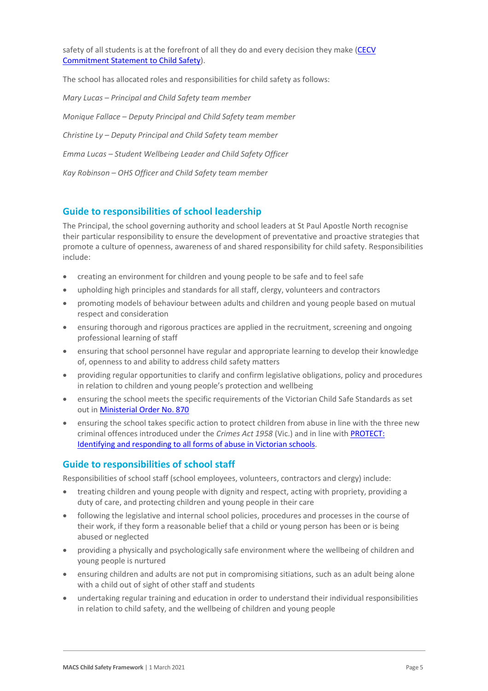safety of all students is at the forefront of all they do and every decision they make (CECV [Commitment Statement to Child Safety\)](https://www.cecv.catholic.edu.au/getmedia/b5d43278-51b9-4704-b45a-f14e50546a70/Commitment-Statement-A4.aspx).

The school has allocated roles and responsibilities for child safety as follows:

*Mary Lucas – Principal and Child Safety team member Monique Fallace – Deputy Principal and Child Safety team member Christine Ly – Deputy Principal and Child Safety team member Emma Lucas – Student Wellbeing Leader and Child Safety Officer Kay Robinson – OHS Officer and Child Safety team member*

#### **Guide to responsibilities of school leadership**

The Principal, the school governing authority and school leaders at St Paul Apostle North recognise their particular responsibility to ensure the development of preventative and proactive strategies that promote a culture of openness, awareness of and shared responsibility for child safety. Responsibilities include:

- creating an environment for children and young people to be safe and to feel safe
- upholding high principles and standards for all staff, clergy, volunteers and contractors
- promoting models of behaviour between adults and children and young people based on mutual respect and consideration
- ensuring thorough and rigorous practices are applied in the recruitment, screening and ongoing professional learning of staff
- ensuring that school personnel have regular and appropriate learning to develop their knowledge of, openness to and ability to address child safety matters
- providing regular opportunities to clarify and confirm legislative obligations, policy and procedures in relation to children and young people's protection and wellbeing
- ensuring the school meets the specific requirements of the Victorian Child Safe Standards as set out i[n Ministerial Order No. 870](http://www.gazette.vic.gov.au/gazette/Gazettes2016/GG2016S002.pdf)
- ensuring the school takes specific action to protect children from abuse in line with the three new criminal offences introduced under the *Crimes Act 1958* (Vic.) and in line with [PROTECT:](http://www.cecv.catholic.edu.au/getmedia/ebe135a4-d1b3-48a0-81fe-50d4fc451bcd/Identifying-and-Responding-to-All-Forms-of-Abuse.aspx)  [Identifying and responding to all forms of abuse in Victorian schools.](http://www.cecv.catholic.edu.au/getmedia/ebe135a4-d1b3-48a0-81fe-50d4fc451bcd/Identifying-and-Responding-to-All-Forms-of-Abuse.aspx)

#### **Guide to responsibilities of school staff**

Responsibilities of school staff (school employees, volunteers, contractors and clergy) include:

- treating children and young people with dignity and respect, acting with propriety, providing a duty of care, and protecting children and young people in their care
- following the legislative and internal school policies, procedures and processes in the course of their work, if they form a reasonable belief that a child or young person has been or is being abused or neglected
- providing a physically and psychologically safe environment where the wellbeing of children and young people is nurtured
- ensuring children and adults are not put in compromising sitiations, such as an adult being alone with a child out of sight of other staff and students
- undertaking regular training and education in order to understand their individual responsibilities in relation to child safety, and the wellbeing of children and young people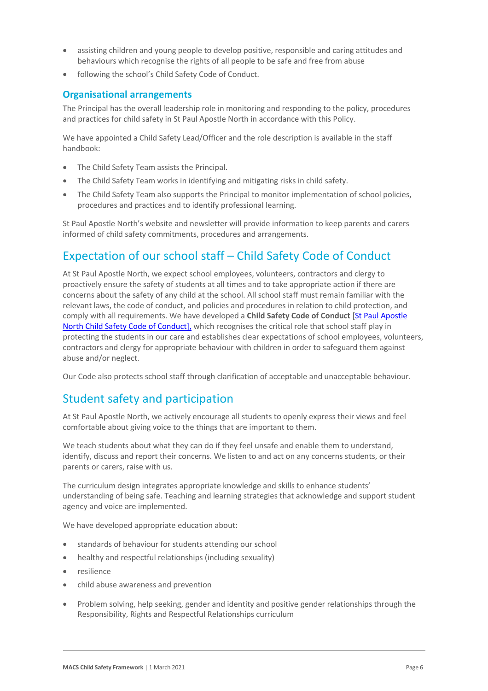- assisting children and young people to develop positive, responsible and caring attitudes and behaviours which recognise the rights of all people to be safe and free from abuse
- following the school's Child Safety Code of Conduct.

#### **Organisational arrangements**

The Principal has the overall leadership role in monitoring and responding to the policy, procedures and practices for child safety in St Paul Apostle North in accordance with this Policy.

We have appointed a Child Safety Lead/Officer and the role description is available in the staff handbook:

- The Child Safety Team assists the Principal.
- The Child Safety Team works in identifying and mitigating risks in child safety.
- The Child Safety Team also supports the Principal to monitor implementation of school policies, procedures and practices and to identify professional learning.

St Paul Apostle North's website and newsletter will provide information to keep parents and carers informed of child safety commitments, procedures and arrangements.

### Expectation of our school staff – Child Safety Code of Conduct

At St Paul Apostle North, we expect school employees, volunteers, contractors and clergy to proactively ensure the safety of students at all times and to take appropriate action if there are concerns about the safety of any child at the school. All school staff must remain familiar with the relevant laws, the code of conduct, and policies and procedures in relation to child protection, and comply with all requirements. We have developed a **Child Safety Code of Conduct** [\[St Paul Apostle](-MACS-Child_Safety_Code_of_Conduct.docx)  North [Child Safety Code of Conduct\],](-MACS-Child_Safety_Code_of_Conduct.docx) which recognises the critical role that school staff play in protecting the students in our care and establishes clear expectations of school employees, volunteers, contractors and clergy for appropriate behaviour with children in order to safeguard them against abuse and/or neglect.

Our Code also protects school staff through clarification of acceptable and unacceptable behaviour.

## Student safety and participation

At St Paul Apostle North, we actively encourage all students to openly express their views and feel comfortable about giving voice to the things that are important to them.

We teach students about what they can do if they feel unsafe and enable them to understand, identify, discuss and report their concerns. We listen to and act on any concerns students, or their parents or carers, raise with us.

The curriculum design integrates appropriate knowledge and skills to enhance students' understanding of being safe. Teaching and learning strategies that acknowledge and support student agency and voice are implemented.

We have developed appropriate education about:

- standards of behaviour for students attending our school
- healthy and respectful relationships (including sexuality)
- resilience
- child abuse awareness and prevention
- Problem solving, help seeking, gender and identity and positive gender relationships through the Responsibility, Rights and Respectful Relationships curriculum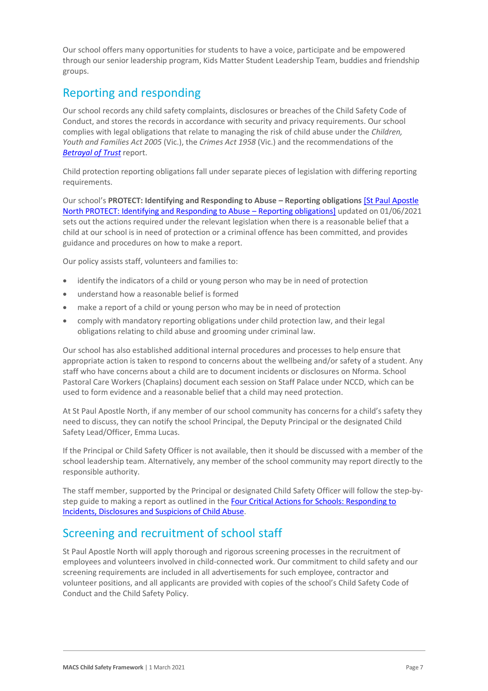Our school offers many opportunities for students to have a voice, participate and be empowered through our senior leadership program, Kids Matter Student Leadership Team, buddies and friendship groups.

# Reporting and responding

Our school records any child safety complaints, disclosures or breaches of the Child Safety Code of Conduct, and stores the records in accordance with security and privacy requirements. Our school complies with legal obligations that relate to managing the risk of child abuse under the *Children, Youth and Families Act 2005* (Vic.), the *Crimes Act 1958* (Vic.) and the recommendations of the *[Betrayal of Trust](http://www.parliament.vic.gov.au/fcdc/article/1788)* report.

Child protection reporting obligations fall under separate pieces of legislation with differing reporting requirements.

Our school's **PROTECT: Identifying and Responding to Abuse – Reporting obligations** [\[St Paul Apostle](-MACS-PROTECT_Identifying_and_Responding_to_Abuse_Reporting_Obligations.docx)  North PROTECT: [Identifying and Responding to Abuse](-MACS-PROTECT_Identifying_and_Responding_to_Abuse_Reporting_Obligations.docx) – Reporting obligations] updated on 01/06/2021 sets out the actions required under the relevant legislation when there is a reasonable belief that a child at our school is in need of protection or a criminal offence has been committed, and provides guidance and procedures on how to make a report.

Our policy assists staff, volunteers and families to:

- identify the indicators of a child or young person who may be in need of protection
- understand how a reasonable belief is formed
- make a report of a child or young person who may be in need of protection
- comply with mandatory reporting obligations under child protection law, and their legal obligations relating to child abuse and grooming under criminal law.

Our school has also established additional internal procedures and processes to help ensure that appropriate action is taken to respond to concerns about the wellbeing and/or safety of a student. Any staff who have concerns about a child are to document incidents or disclosures on Nforma. School Pastoral Care Workers (Chaplains) document each session on Staff Palace under NCCD, which can be used to form evidence and a reasonable belief that a child may need protection.

At St Paul Apostle North, if any member of our school community has concerns for a child's safety they need to discuss, they can notify the school Principal, the Deputy Principal or the designated Child Safety Lead/Officer, Emma Lucas.

If the Principal or Child Safety Officer is not available, then it should be discussed with a member of the school leadership team. Alternatively, any member of the school community may report directly to the responsible authority.

The staff member, supported by the Principal or designated Child Safety Officer will follow the step-bystep guide to making a report as outlined in the Four Critical Actions for Schools: Responding to [Incidents, Disclosures and Suspicions of Child Abuse.](https://www.education.vic.gov.au/Documents/about/programs/health/protect/FourCriticalActions_ChildAbuse.pdf)

## Screening and recruitment of school staff

St Paul Apostle North will apply thorough and rigorous screening processes in the recruitment of employees and volunteers involved in child-connected work. Our commitment to child safety and our screening requirements are included in all advertisements for such employee, contractor and volunteer positions, and all applicants are provided with copies of the school's Child Safety Code of Conduct and the Child Safety Policy.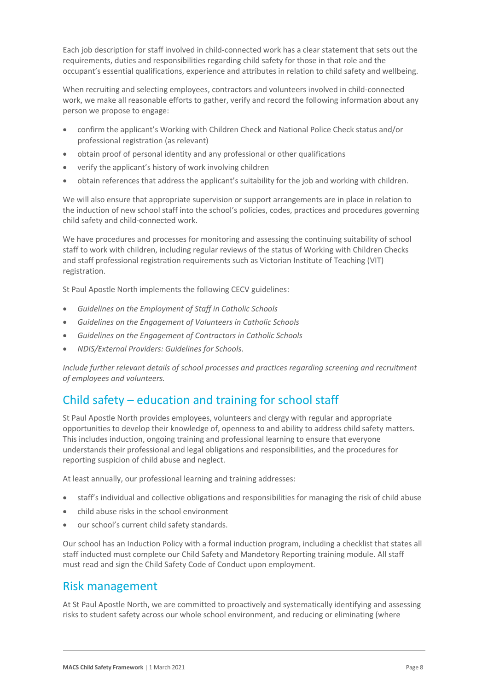Each job description for staff involved in child-connected work has a clear statement that sets out the requirements, duties and responsibilities regarding child safety for those in that role and the occupant's essential qualifications, experience and attributes in relation to child safety and wellbeing.

When recruiting and selecting employees, contractors and volunteers involved in child-connected work, we make all reasonable efforts to gather, verify and record the following information about any person we propose to engage:

- confirm the applicant's Working with Children Check and National Police Check status and/or professional registration (as relevant)
- obtain proof of personal identity and any professional or other qualifications
- verify the applicant's history of work involving children
- obtain references that address the applicant's suitability for the job and working with children.

We will also ensure that appropriate supervision or support arrangements are in place in relation to the induction of new school staff into the school's policies, codes, practices and procedures governing child safety and child-connected work.

We have procedures and processes for monitoring and assessing the continuing suitability of school staff to work with children, including regular reviews of the status of Working with Children Checks and staff professional registration requirements such as Victorian Institute of Teaching (VIT) registration.

St Paul Apostle North implements the following CECV guidelines:

- *Guidelines on the Employment of Staff in Catholic Schools*
- *Guidelines on the Engagement of Volunteers in Catholic Schools*
- *Guidelines on the Engagement of Contractors in Catholic Schools*
- *NDIS/External Providers: Guidelines for Schools*.

*Include further relevant details of school processes and practices regarding screening and recruitment of employees and volunteers.*

## Child safety – education and training for school staff

St Paul Apostle North provides employees, volunteers and clergy with regular and appropriate opportunities to develop their knowledge of, openness to and ability to address child safety matters. This includes induction, ongoing training and professional learning to ensure that everyone understands their professional and legal obligations and responsibilities, and the procedures for reporting suspicion of child abuse and neglect.

At least annually, our professional learning and training addresses:

- staff's individual and collective obligations and responsibilities for managing the risk of child abuse
- child abuse risks in the school environment
- our school's current child safety standards.

Our school has an Induction Policy with a formal induction program, including a checklist that states all staff inducted must complete our Child Safety and Mandetory Reporting training module. All staff must read and sign the Child Safety Code of Conduct upon employment.

#### Risk management

At St Paul Apostle North, we are committed to proactively and systematically identifying and assessing risks to student safety across our whole school environment, and reducing or eliminating (where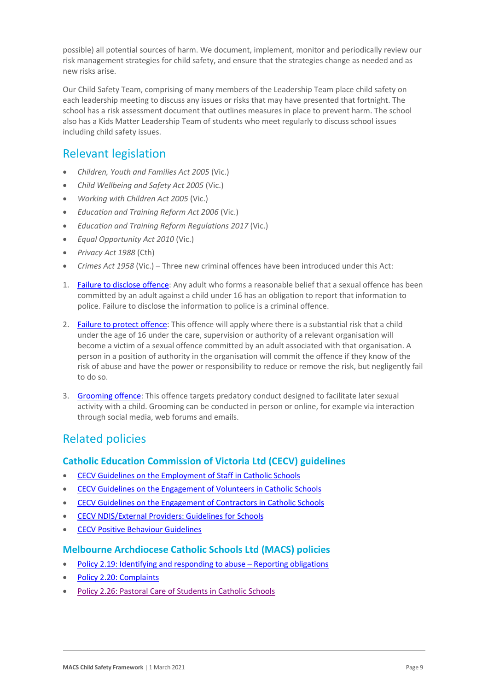possible) all potential sources of harm. We document, implement, monitor and periodically review our risk management strategies for child safety, and ensure that the strategies change as needed and as new risks arise.

Our Child Safety Team, comprising of many members of the Leadership Team place child safety on each leadership meeting to discuss any issues or risks that may have presented that fortnight. The school has a risk assessment document that outlines measures in place to prevent harm. The school also has a Kids Matter Leadership Team of students who meet regularly to discuss school issues including child safety issues.

### Relevant legislation

- *Children, Youth and Families Act 2005* (Vic.)
- *Child Wellbeing and Safety Act 2005* (Vic.)
- *Working with Children Act 2005* (Vic.)
- *Education and Training Reform Act 2006* (Vic.)
- *Education and Training Reform Regulations 2017* (Vic.)
- *Equal Opportunity Act 2010* (Vic.)
- *Privacy Act 1988* (Cth)
- *Crimes Act 1958* (Vic.) Three new criminal offences have been introduced under this Act:
- 1. [Failure to disclose offence:](https://www.justice.vic.gov.au/safer-communities/protecting-children-and-families/failure-to-disclose-offence#%3A~%3Atext%3DIn%202014%2C%20the%20law%20in%20Victoria%20was%20changed%2Coffended%20against%20a%20child%20under%2016%20in%20Victoria) Any adult who forms a reasonable belief that a sexual offence has been committed by an adult against a child under 16 has an obligation to report that information to police. Failure to disclose the information to police is a criminal offence.
- 2. [Failure to protect offence:](https://www.justice.vic.gov.au/safer-communities/protecting-children-and-families/failure-to-protect-a-new-criminal-offence-to#%3A~%3Atext%3DFailure%20to%20protect%3A%20a%20new%20criminal%20offence%20to%2Cfrom%20sexual%20abuse%20and%20exposure%20to%20sexual%20offenders) This offence will apply where there is a substantial risk that a child under the age of 16 under the care, supervision or authority of a relevant organisation will become a victim of a sexual offence committed by an adult associated with that organisation. A person in a position of authority in the organisation will commit the offence if they know of the risk of abuse and have the power or responsibility to reduce or remove the risk, but negligently fail to do so.
- 3. [Grooming offence:](https://www.justice.vic.gov.au/safer-communities/protecting-children-and-families/grooming-offence) This offence targets predatory conduct designed to facilitate later sexual activity with a child. Grooming can be conducted in person or online, for example via interaction through social media, web forums and emails.

## Related policies

#### **Catholic Education Commission of Victoria Ltd (CECV) guidelines**

- [CECV Guidelines on the Employment of Staff in Catholic Schools](https://www.cecv.catholic.edu.au/getmedia/0393d7fb-2fb9-4e48-a05e-56b703dd62eb/Employment-Guidelines.aspx)
- [CECV Guidelines on the Engagement of Volunteers in Catholic Schools](https://www.cecv.catholic.edu.au/Media-Files/IR/Policies-Guidelines/Volunteers/Guidelines-on-the-Engagement-of-Volunteers.aspx)
- [CECV Guidelines on the Engagement of Contractors in Catholic Schools](https://www.cecv.catholic.edu.au/Media-Files/IR/Policies-Guidelines/Staff,-Contractors,-Volunteers/Contractor-Guidelines.aspx)
- [CECV NDIS/External Providers: Guidelines for](https://www.cecv.catholic.edu.au/getmedia/cec12bdf-5e03-4d3a-ac47-504fe084f415/NDIS-External-Providers-Guidelines.aspx?ext=.pdf) Schools
- [CECV Positive Behaviour Guidelines](https://www.cecv.catholic.edu.au/getmedia/bc1d235d-9a98-4bb4-b3ac-84b50fa7c639/CECV-Positive-Behaviour-Guidelines_FINAL2.aspx?ext=.pdf)

#### **Melbourne Archdiocese Catholic Schools Ltd (MACS) policies**

- [Policy 2.19: Identifying and responding to abuse](https://www.cem.edu.au/About-Us/Policies/Child-Protection-Reporting-Obligations.aspx)  Reporting obligations
- [Policy 2.20: Complaints](https://www.macs.vic.edu.au/About-Us/Policies/Complaints.aspx)
- [Policy 2.26: Pastoral Care of Students in Catholic Schools](https://www.macs.vic.edu.au/About-Us/Policies/Pastoral-Care-of-Students.aspx)